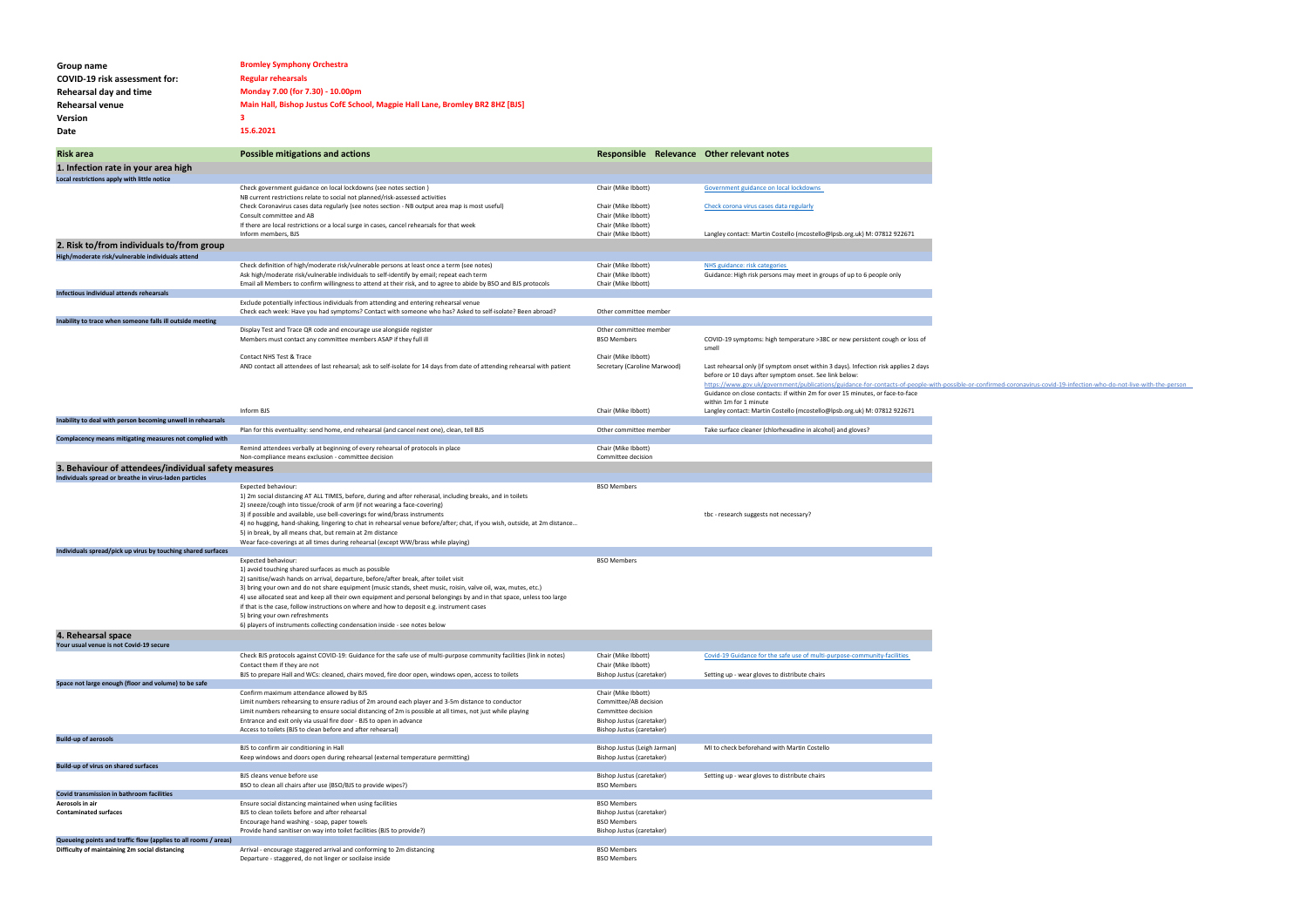| Group name<br>COVID-19 risk assessment for:<br>Rehearsal day and time<br>Rehearsal venue<br>Version<br>Date            | <b>Bromley Symphony Orchestra</b><br><b>Regular rehearsals</b><br>Monday 7.00 (for 7.30) - 10.00pm<br>Main Hall, Bishop Justus CofE School, Magpie Hall Lane, Bromley BR2 8HZ [BJS]<br>3<br>15.6.2021                                                                                                                                                                                                                                                                                                                                                                                                 |                                                                                                                              |                                                                                                                                                                                                                                                                                                                                                    |
|------------------------------------------------------------------------------------------------------------------------|-------------------------------------------------------------------------------------------------------------------------------------------------------------------------------------------------------------------------------------------------------------------------------------------------------------------------------------------------------------------------------------------------------------------------------------------------------------------------------------------------------------------------------------------------------------------------------------------------------|------------------------------------------------------------------------------------------------------------------------------|----------------------------------------------------------------------------------------------------------------------------------------------------------------------------------------------------------------------------------------------------------------------------------------------------------------------------------------------------|
| <b>Risk area</b>                                                                                                       | <b>Possible mitigations and actions</b>                                                                                                                                                                                                                                                                                                                                                                                                                                                                                                                                                               | Responsible Relevance Other relevant notes                                                                                   |                                                                                                                                                                                                                                                                                                                                                    |
| 1. Infection rate in your area high<br>Local restrictions apply with little notice                                     |                                                                                                                                                                                                                                                                                                                                                                                                                                                                                                                                                                                                       |                                                                                                                              |                                                                                                                                                                                                                                                                                                                                                    |
|                                                                                                                        | Check government guidance on local lockdowns (see notes section)                                                                                                                                                                                                                                                                                                                                                                                                                                                                                                                                      | Chair (Mike Ibbott)                                                                                                          | Government guidance on local lockdowns                                                                                                                                                                                                                                                                                                             |
|                                                                                                                        | NB current restrictions relate to social not planned/risk-assessed activities<br>Check Coronavirus cases data regularly (see notes section - NB output area map is most useful)                                                                                                                                                                                                                                                                                                                                                                                                                       | Chair (Mike Ibbott)                                                                                                          | Check corona virus cases data regularly                                                                                                                                                                                                                                                                                                            |
|                                                                                                                        | Consult committee and AB                                                                                                                                                                                                                                                                                                                                                                                                                                                                                                                                                                              | Chair (Mike Ibbott)                                                                                                          |                                                                                                                                                                                                                                                                                                                                                    |
|                                                                                                                        | If there are local restrictions or a local surge in cases, cancel rehearsals for that week                                                                                                                                                                                                                                                                                                                                                                                                                                                                                                            | Chair (Mike Ibbott)                                                                                                          |                                                                                                                                                                                                                                                                                                                                                    |
| 2. Risk to/from individuals to/from group<br>High/moderate risk/vulnerable individuals attend                          | Inform members, BJS                                                                                                                                                                                                                                                                                                                                                                                                                                                                                                                                                                                   | Chair (Mike Ibbott)                                                                                                          | Langley contact: Martin Costello (mcostello@lpsb.org.uk) M: 07812 922671                                                                                                                                                                                                                                                                           |
|                                                                                                                        | Check definition of high/moderate risk/vulnerable persons at least once a term (see notes)                                                                                                                                                                                                                                                                                                                                                                                                                                                                                                            | Chair (Mike Ibbott)                                                                                                          | NHS guidance: risk categories                                                                                                                                                                                                                                                                                                                      |
|                                                                                                                        | Ask high/moderate risk/vulnerable individuals to self-identify by email; repeat each term<br>Email all Members to confirm willingness to attend at their risk, and to agree to abide by BSO and BJS protocols                                                                                                                                                                                                                                                                                                                                                                                         | Chair (Mike Ibbott)<br>Chair (Mike Ibbott)                                                                                   | Guidance: High risk persons may meet in groups of up to 6 people only                                                                                                                                                                                                                                                                              |
| Infectious individual attends rehearsals                                                                               |                                                                                                                                                                                                                                                                                                                                                                                                                                                                                                                                                                                                       |                                                                                                                              |                                                                                                                                                                                                                                                                                                                                                    |
|                                                                                                                        | Exclude potentially infectious individuals from attending and entering rehearsal venue                                                                                                                                                                                                                                                                                                                                                                                                                                                                                                                |                                                                                                                              |                                                                                                                                                                                                                                                                                                                                                    |
| Inability to trace when someone falls ill outside meeting                                                              | Check each week: Have you had symptoms? Contact with someone who has? Asked to self-isolate? Been abroad?                                                                                                                                                                                                                                                                                                                                                                                                                                                                                             | Other committee member                                                                                                       |                                                                                                                                                                                                                                                                                                                                                    |
|                                                                                                                        | Display Test and Trace QR code and encourage use alongside register<br>Members must contact any committee members ASAP if they full ill                                                                                                                                                                                                                                                                                                                                                                                                                                                               | Other committee member<br><b>BSO Members</b>                                                                                 | COVID-19 symptoms: high temperature >38C or new persistent cough or loss of<br>smell                                                                                                                                                                                                                                                               |
|                                                                                                                        | Contact NHS Test & Trace<br>AND contact all attendees of last rehearsal; ask to self-isolate for 14 days from date of attending rehearsal with patient                                                                                                                                                                                                                                                                                                                                                                                                                                                | Chair (Mike Ibbott)<br>Secretary (Caroline Marwood)                                                                          | Last rehearsal only (if symptom onset within 3 days). Infection risk applies 2 days<br>before or 10 days after symptom onset. See link below:<br>https://www.gov.uk/government/publications/guidance-for-contacts-of-people-with-possib<br>Guidance on close contacts: if within 2m for over 15 minutes, or face-to-face<br>within 1m for 1 minute |
|                                                                                                                        | Inform BJS                                                                                                                                                                                                                                                                                                                                                                                                                                                                                                                                                                                            | Chair (Mike Ibbott)                                                                                                          | Langley contact: Martin Costello (mcostello@lpsb.org.uk) M: 07812 922671                                                                                                                                                                                                                                                                           |
| Inability to deal with person becoming unwell in rehearsals<br>Complacency means mitigating measures not complied with | Plan for this eventuality: send home, end rehearsal (and cancel next one), clean, tell BJS                                                                                                                                                                                                                                                                                                                                                                                                                                                                                                            | Other committee member                                                                                                       | Take surface cleaner (chlorhexadine in alcohol) and gloves?                                                                                                                                                                                                                                                                                        |
|                                                                                                                        | Remind attendees verbally at beginning of every rehearsal of protocols in place                                                                                                                                                                                                                                                                                                                                                                                                                                                                                                                       | Chair (Mike Ibbott)                                                                                                          |                                                                                                                                                                                                                                                                                                                                                    |
|                                                                                                                        | Non-compliance means exclusion - committee decision                                                                                                                                                                                                                                                                                                                                                                                                                                                                                                                                                   | Committee decision                                                                                                           |                                                                                                                                                                                                                                                                                                                                                    |
| 3. Behaviour of attendees/individual safety measures<br>Individuals spread or breathe in virus-laden particles         |                                                                                                                                                                                                                                                                                                                                                                                                                                                                                                                                                                                                       |                                                                                                                              |                                                                                                                                                                                                                                                                                                                                                    |
|                                                                                                                        | Expected behaviour:<br>1) 2m social distancing AT ALL TIMES, before, during and after reherasal, including breaks, and in toilets<br>2) sneeze/cough into tissue/crook of arm (if not wearing a face-covering)<br>3) if possible and available, use bell-coverings for wind/brass instruments<br>4) no hugging, hand-shaking, lingering to chat in rehearsal venue before/after; chat, if you wish, outside, at 2m distance<br>5) in break, by all means chat, but remain at 2m distance<br>Wear face-coverings at all times during rehearsal (except WW/brass while playing)                         | <b>BSO Members</b>                                                                                                           | tbc - research suggests not necessary?                                                                                                                                                                                                                                                                                                             |
| Individuals spread/pick up virus by touching shared surfaces                                                           | Expected behaviour:                                                                                                                                                                                                                                                                                                                                                                                                                                                                                                                                                                                   | <b>BSO Members</b>                                                                                                           |                                                                                                                                                                                                                                                                                                                                                    |
|                                                                                                                        | 1) avoid touching shared surfaces as much as possible<br>2) sanitise/wash hands on arrival, departure, before/after break, after toilet visit<br>3) bring your own and do not share equipment (music stands, sheet music, roisin, valve oil, wax, mutes, etc.)<br>4) use allocated seat and keep all their own equipment and personal belongings by and in that space, unless too large<br>if that is the case, follow instructions on where and how to deposit e.g. instrument cases<br>5) bring your own refreshments<br>6) players of instruments collecting condensation inside - see notes below |                                                                                                                              |                                                                                                                                                                                                                                                                                                                                                    |
| 4. Rehearsal space                                                                                                     |                                                                                                                                                                                                                                                                                                                                                                                                                                                                                                                                                                                                       |                                                                                                                              |                                                                                                                                                                                                                                                                                                                                                    |
| Your usual venue is not Covid-19 secure                                                                                | Check BJS protocols against COVID-19: Guidance for the safe use of multi-purpose community facilities (link in notes)                                                                                                                                                                                                                                                                                                                                                                                                                                                                                 | Chair (Mike Ibbott)                                                                                                          | Covid-19 Guidance for the safe use of multi-purpose-community-facilities                                                                                                                                                                                                                                                                           |
|                                                                                                                        | Contact them if they are not                                                                                                                                                                                                                                                                                                                                                                                                                                                                                                                                                                          | Chair (Mike Ibbott)                                                                                                          |                                                                                                                                                                                                                                                                                                                                                    |
|                                                                                                                        | BJS to prepare Hall and WCs: cleaned, chairs moved, fire door open, windows open, access to toilets                                                                                                                                                                                                                                                                                                                                                                                                                                                                                                   | Bishop Justus (caretaker)                                                                                                    | Setting up - wear gloves to distribute chairs                                                                                                                                                                                                                                                                                                      |
| Space not large enough (floor and volume) to be safe                                                                   | Confirm maximum attendance allowed by BJS<br>Limit numbers rehearsing to ensure radius of 2m around each player and 3-5m distance to conductor<br>Limit numbers rehearsing to ensure social distancing of 2m is possible at all times, not just while playing<br>Entrance and exit only via usual fire door - BJS to open in advance<br>Access to toilets (BJS to clean before and after rehearsal)                                                                                                                                                                                                   | Chair (Mike Ibbott)<br>Committee/AB decision<br>Committee decision<br>Bishop Justus (caretaker)<br>Bishop Justus (caretaker) |                                                                                                                                                                                                                                                                                                                                                    |
| <b>Build-up of aerosols</b>                                                                                            | BJS to confirm air conditioning in Hall                                                                                                                                                                                                                                                                                                                                                                                                                                                                                                                                                               | Bishop Justus (Leigh Jarman)                                                                                                 | MI to check beforehand with Martin Costello                                                                                                                                                                                                                                                                                                        |
|                                                                                                                        | Keep windows and doors open during rehearsal (external temperature permitting)                                                                                                                                                                                                                                                                                                                                                                                                                                                                                                                        | Bishop Justus (caretaker)                                                                                                    |                                                                                                                                                                                                                                                                                                                                                    |
| Build-up of virus on shared surfaces                                                                                   | BJS cleans venue before use                                                                                                                                                                                                                                                                                                                                                                                                                                                                                                                                                                           | Bishop Justus (caretaker)                                                                                                    | Setting up - wear gloves to distribute chairs                                                                                                                                                                                                                                                                                                      |
|                                                                                                                        | BSO to clean all chairs after use (BSO/BJS to provide wipes?)                                                                                                                                                                                                                                                                                                                                                                                                                                                                                                                                         | <b>BSO Members</b>                                                                                                           |                                                                                                                                                                                                                                                                                                                                                    |
| Covid transmission in bathroom facilities                                                                              |                                                                                                                                                                                                                                                                                                                                                                                                                                                                                                                                                                                                       |                                                                                                                              |                                                                                                                                                                                                                                                                                                                                                    |
| Aerosols in air<br><b>Contaminated surfaces</b>                                                                        | Ensure social distancing maintained when using facilities<br>BJS to clean toilets before and after rehearsal                                                                                                                                                                                                                                                                                                                                                                                                                                                                                          | <b>BSO Members</b><br>Bishop Justus (caretaker)                                                                              |                                                                                                                                                                                                                                                                                                                                                    |
|                                                                                                                        | Encourage hand washing - soap, paper towels                                                                                                                                                                                                                                                                                                                                                                                                                                                                                                                                                           | <b>BSO Members</b>                                                                                                           |                                                                                                                                                                                                                                                                                                                                                    |
| Queueing points and traffic flow (applies to all rooms / areas)<br>Difficulty of maintaining 2m social distancing      | Provide hand sanitiser on way into toilet facilities (BJS to provide?)<br>Arrival - encourage staggered arrival and conforming to 2m distancing<br>Departure - staggered, do not linger or socilaise inside                                                                                                                                                                                                                                                                                                                                                                                           | Bishop Justus (caretaker)<br><b>BSO Members</b><br><b>BSO Members</b>                                                        |                                                                                                                                                                                                                                                                                                                                                    |
|                                                                                                                        |                                                                                                                                                                                                                                                                                                                                                                                                                                                                                                                                                                                                       |                                                                                                                              |                                                                                                                                                                                                                                                                                                                                                    |

ible-or-confirmed-coronavirus-covid-19-infection-who-do-not-live-with-the-person